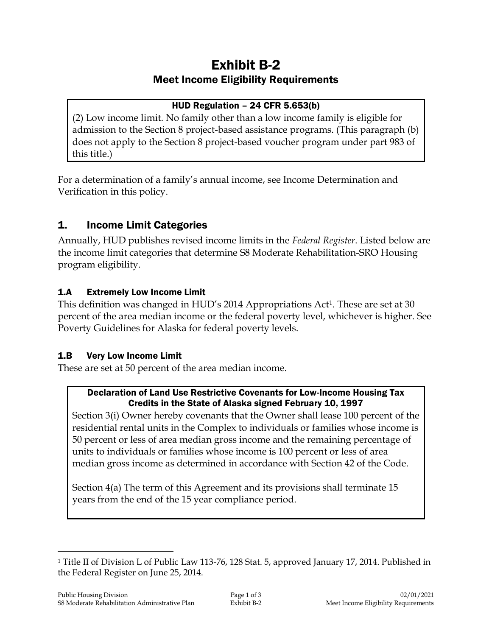# Exhibit B-2 Meet Income Eligibility Requirements

# HUD Regulation – 24 CFR 5.653(b)

(2) Low income limit. No family other than a low income family is eligible for admission to the Section 8 project-based assistance programs. (This paragraph (b) does not apply to the Section 8 project-based voucher program under part 983 of this title.)

For a determination of a family's annual income, see Income Determination and Verification in this policy.

# 1. Income Limit Categories

Annually, HUD publishes revised income limits in the *Federal Register*. Listed below are the income limit categories that determine S8 Moderate Rehabilitation-SRO Housing program eligibility.

# 1.A Extremely Low Income Limit

This definition was changed in HUD's 2014 Appropriations Act<sup>1</sup>. These are set at 30 percent of the area median income or the federal poverty level, whichever is higher. See Poverty Guidelines for Alaska for federal poverty levels.

#### 1.B Very Low Income Limit

These are set at 50 percent of the area median income.

#### Declaration of Land Use Restrictive Covenants for Low-Income Housing Tax Credits in the State of Alaska signed February 10, 1997

Section 3(i) Owner hereby covenants that the Owner shall lease 100 percent of the residential rental units in the Complex to individuals or families whose income is 50 percent or less of area median gross income and the remaining percentage of units to individuals or families whose income is 100 percent or less of area median gross income as determined in accordance with Section 42 of the Code.

Section 4(a) The term of this Agreement and its provisions shall terminate 15 years from the end of the 15 year compliance period.

 $\overline{a}$ 

<sup>1</sup> Title II of Division L of Public Law 113-76, 128 Stat. 5, approved January 17, 2014. Published in the Federal Register on June 25, 2014.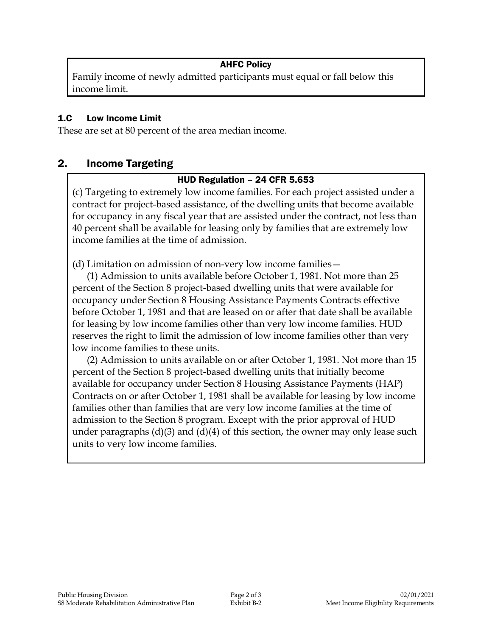# AHFC Policy

Family income of newly admitted participants must equal or fall below this income limit.

#### 1.C Low Income Limit

These are set at 80 percent of the area median income.

# 2. Income Targeting

#### HUD Regulation – 24 CFR 5.653

(c) Targeting to extremely low income families. For each project assisted under a contract for project-based assistance, of the dwelling units that become available for occupancy in any fiscal year that are assisted under the contract, not less than 40 percent shall be available for leasing only by families that are extremely low income families at the time of admission.

(d) Limitation on admission of non-very low income families—

(1) Admission to units available before October 1, 1981. Not more than 25 percent of the Section 8 project-based dwelling units that were available for occupancy under Section 8 Housing Assistance Payments Contracts effective before October 1, 1981 and that are leased on or after that date shall be available for leasing by low income families other than very low income families. HUD reserves the right to limit the admission of low income families other than very low income families to these units.

(2) Admission to units available on or after October 1, 1981. Not more than 15 percent of the Section 8 project-based dwelling units that initially become available for occupancy under Section 8 Housing Assistance Payments (HAP) Contracts on or after October 1, 1981 shall be available for leasing by low income families other than families that are very low income families at the time of admission to the Section 8 program. Except with the prior approval of HUD under paragraphs  $(d)(3)$  and  $(d)(4)$  of this section, the owner may only lease such units to very low income families.